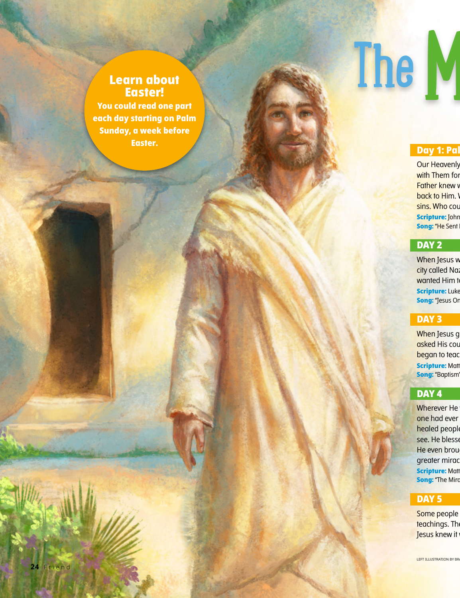## **Learn about Easter!**

**You could read one part each day starting on Palm Sunday, a week before Easter.**

## The M

### **Day 1: Pal**

**Our Heavenly** with Them for Father knew v back to Him. sins. Who cou **Scripture:** John **Song: "He Sent** 

### **DAY 2**

When Jesus w city called Naz wanted Him t **Scripture: Luke Song:** "Jesus Or

### **DAY 3**

When Jesus g asked His cousin began to teach **Scripture: Matt** 

**Song:** "Baptism"

### **DAY 4**

**Wherever He** one had ever healed people see. He blesse He even brought greater mirac **Scripture: Matt Song:** "The Mira

### **DAY 5**

Some people teachings. The Jesus knew it